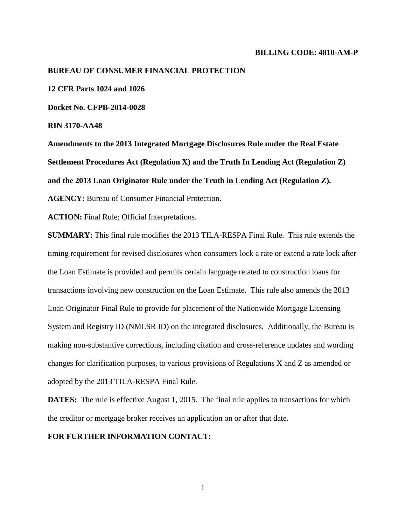### **BILLING CODE: 4810-AM-P**

### **BUREAU OF CONSUMER FINANCIAL PROTECTION**

**12 CFR Parts 1024 and 1026**

**Docket No. CFPB-2014-0028**

**RIN 3170-AA48**

**Amendments to the 2013 Integrated Mortgage Disclosures Rule under the Real Estate Settlement Procedures Act (Regulation X) and the Truth In Lending Act (Regulation Z) and the 2013 Loan Originator Rule under the Truth in Lending Act (Regulation Z).**

**AGENCY:** Bureau of Consumer Financial Protection.

**ACTION:** Final Rule; Official Interpretations.

**SUMMARY:** This final rule modifies the 2013 TILA-RESPA Final Rule. This rule extends the timing requirement for revised disclosures when consumers lock a rate or extend a rate lock after the Loan Estimate is provided and permits certain language related to construction loans for transactions involving new construction on the Loan Estimate. This rule also amends the 2013 Loan Originator Final Rule to provide for placement of the Nationwide Mortgage Licensing System and Registry ID (NMLSR ID) on the integrated disclosures. Additionally, the Bureau is making non-substantive corrections, including citation and cross-reference updates and wording changes for clarification purposes, to various provisions of Regulations X and Z as amended or adopted by the 2013 TILA-RESPA Final Rule.

**DATES:** The rule is effective August 1, 2015. The final rule applies to transactions for which the creditor or mortgage broker receives an application on or after that date.

# **FOR FURTHER INFORMATION CONTACT:**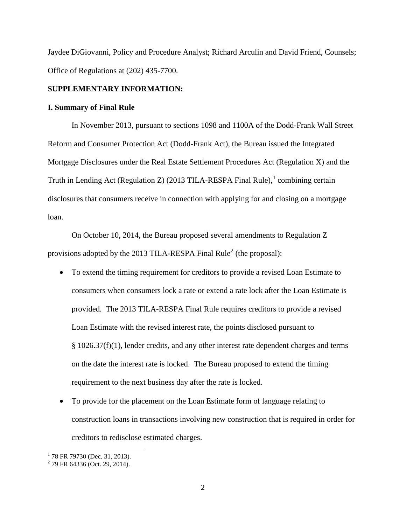Jaydee DiGiovanni, Policy and Procedure Analyst; Richard Arculin and David Friend, Counsels; Office of Regulations at (202) 435-7700.

# **SUPPLEMENTARY INFORMATION:**

### **I. Summary of Final Rule**

In November 2013, pursuant to sections 1098 and 1100A of the Dodd-Frank Wall Street Reform and Consumer Protection Act (Dodd-Frank Act), the Bureau issued the Integrated Mortgage Disclosures under the Real Estate Settlement Procedures Act (Regulation X) and the Truth in Lending Act (Regulation Z) (20[1](#page-1-0)3 TILA-RESPA Final Rule), $1$  combining certain disclosures that consumers receive in connection with applying for and closing on a mortgage loan.

On October 10, 2014, the Bureau proposed several amendments to Regulation Z provisions adopted by the [2](#page-1-1)013 TILA-RESPA Final Rule<sup>2</sup> (the proposal):

- To extend the timing requirement for creditors to provide a revised Loan Estimate to consumers when consumers lock a rate or extend a rate lock after the Loan Estimate is provided. The 2013 TILA-RESPA Final Rule requires creditors to provide a revised Loan Estimate with the revised interest rate, the points disclosed pursuant to § 1026.37(f)(1), lender credits, and any other interest rate dependent charges and terms on the date the interest rate is locked. The Bureau proposed to extend the timing requirement to the next business day after the rate is locked.
- To provide for the placement on the Loan Estimate form of language relating to construction loans in transactions involving new construction that is required in order for creditors to redisclose estimated charges.

 $1$  78 FR 79730 (Dec. 31, 2013).

<span id="page-1-1"></span><span id="page-1-0"></span> $2$  79 FR 64336 (Oct. 29, 2014).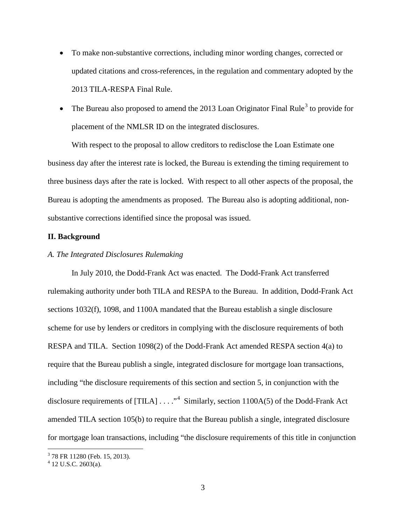- To make non-substantive corrections, including minor wording changes, corrected or updated citations and cross-references, in the regulation and commentary adopted by the 2013 TILA-RESPA Final Rule.
- The Bureau also proposed to amend the 201[3](#page-2-0) Loan Originator Final Rule<sup>3</sup> to provide for placement of the NMLSR ID on the integrated disclosures.

With respect to the proposal to allow creditors to redisclose the Loan Estimate one business day after the interest rate is locked, the Bureau is extending the timing requirement to three business days after the rate is locked. With respect to all other aspects of the proposal, the Bureau is adopting the amendments as proposed. The Bureau also is adopting additional, nonsubstantive corrections identified since the proposal was issued.

# **II. Background**

# *A. The Integrated Disclosures Rulemaking*

In July 2010, the Dodd-Frank Act was enacted. The Dodd-Frank Act transferred rulemaking authority under both TILA and RESPA to the Bureau. In addition, Dodd-Frank Act sections 1032(f), 1098, and 1100A mandated that the Bureau establish a single disclosure scheme for use by lenders or creditors in complying with the disclosure requirements of both RESPA and TILA. Section 1098(2) of the Dodd-Frank Act amended RESPA section 4(a) to require that the Bureau publish a single, integrated disclosure for mortgage loan transactions, including "the disclosure requirements of this section and section 5, in conjunction with the disclosure requirements of  $[THLA] \ldots$ ."<sup>[4](#page-2-1)</sup> Similarly, section 1100A(5) of the Dodd-Frank Act amended TILA section 105(b) to require that the Bureau publish a single, integrated disclosure for mortgage loan transactions, including "the disclosure requirements of this title in conjunction

<span id="page-2-1"></span><span id="page-2-0"></span><sup>3</sup> <sup>78</sup> FR <sup>11280</sup> (Feb. 15, 2013). <sup>4</sup> <sup>12</sup> U.S.C. 2603(a).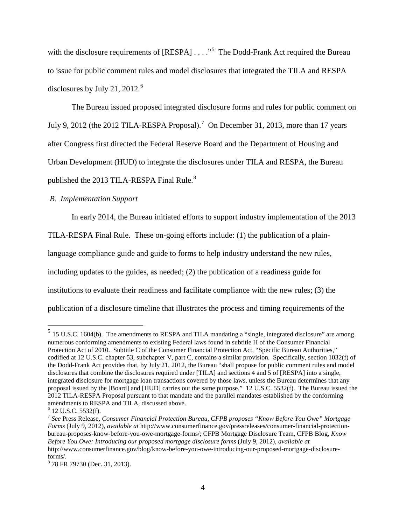with the disclosure requirements of  $[RESPA] \ldots$ <sup>[5](#page-3-0)</sup> The Dodd-Frank Act required the Bureau to issue for public comment rules and model disclosures that integrated the TILA and RESPA disclosures by July 21, 2012. [6](#page-3-1)

The Bureau issued proposed integrated disclosure forms and rules for public comment on July 9, 2012 (the 2012 TILA-RESPA Proposal).<sup>[7](#page-3-2)</sup> On December 31, 2013, more than 17 years after Congress first directed the Federal Reserve Board and the Department of Housing and Urban Development (HUD) to integrate the disclosures under TILA and RESPA, the Bureau

published the 2013 TILA-RESPA Final Rule. $8$ 

# *B. Implementation Support*

In early 2014, the Bureau initiated efforts to support industry implementation of the 2013

TILA-RESPA Final Rule. These on-going efforts include: (1) the publication of a plain-

language compliance guide and guide to forms to help industry understand the new rules,

including updates to the guides, as needed; (2) the publication of a readiness guide for

institutions to evaluate their readiness and facilitate compliance with the new rules; (3) the

publication of a disclosure timeline that illustrates the process and timing requirements of the

<span id="page-3-0"></span> $<sup>5</sup>$  15 U.S.C. 1604(b). The amendments to RESPA and TILA mandating a "single, integrated disclosure" are among</sup> numerous conforming amendments to existing Federal laws found in subtitle H of the Consumer Financial Protection Act of 2010. Subtitle C of the Consumer Financial Protection Act, "Specific Bureau Authorities," codified at 12 U.S.C. chapter 53, subchapter V, part C, contains a similar provision. Specifically, section 1032(f) of the Dodd-Frank Act provides that, by July 21, 2012, the Bureau "shall propose for public comment rules and model disclosures that combine the disclosures required under [TILA] and sections 4 and 5 of [RESPA] into a single, integrated disclosure for mortgage loan transactions covered by those laws, unless the Bureau determines that any proposal issued by the [Board] and [HUD] carries out the same purpose." 12 U.S.C. 5532(f). The Bureau issued the 2012 TILA-RESPA Proposal pursuant to that mandate and the parallel mandates established by the conforming amendments to RESPA and TILA, discussed above.<br> $6$  12 U.S.C. 5532(f).

<span id="page-3-1"></span>

<span id="page-3-2"></span><sup>&</sup>lt;sup>7</sup> See Press Release, *Consumer Financial Protection Bureau, CFPB proposes "Know Before You Owe" Mortgage Forms* (July 9, 2012), *available at* http://www.consumerfinance.gov/pressreleases/consumer-financial-protectionbureau-proposes-know-before-you-owe-mortgage-forms/; CFPB Mortgage Disclosure Team, CFPB Blog, *Know Before You Owe: Introducing our proposed mortgage disclosure forms* (July 9, 2012), *available at* http://www.consumerfinance.gov/blog/know-before-you-owe-introducing-our-proposed-mortgage-disclosure-

<span id="page-3-3"></span>forms/. <sup>8</sup> 78 FR 79730 (Dec. 31, 2013).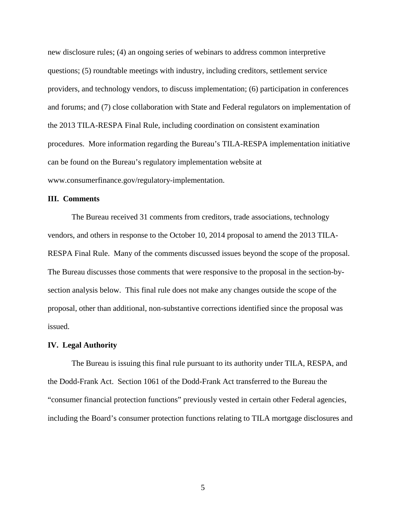new disclosure rules; (4) an ongoing series of webinars to address common interpretive questions; (5) roundtable meetings with industry, including creditors, settlement service providers, and technology vendors, to discuss implementation; (6) participation in conferences and forums; and (7) close collaboration with State and Federal regulators on implementation of the 2013 TILA-RESPA Final Rule, including coordination on consistent examination procedures. More information regarding the Bureau's TILA-RESPA implementation initiative can be found on the Bureau's regulatory implementation website at www.consumerfinance.gov/regulatory-implementation.

### **III. Comments**

The Bureau received 31 comments from creditors, trade associations, technology vendors, and others in response to the October 10, 2014 proposal to amend the 2013 TILA-RESPA Final Rule. Many of the comments discussed issues beyond the scope of the proposal. The Bureau discusses those comments that were responsive to the proposal in the section-bysection analysis below. This final rule does not make any changes outside the scope of the proposal, other than additional, non-substantive corrections identified since the proposal was issued.

### **IV. Legal Authority**

The Bureau is issuing this final rule pursuant to its authority under TILA, RESPA, and the Dodd-Frank Act. Section 1061 of the Dodd-Frank Act transferred to the Bureau the "consumer financial protection functions" previously vested in certain other Federal agencies, including the Board's consumer protection functions relating to TILA mortgage disclosures and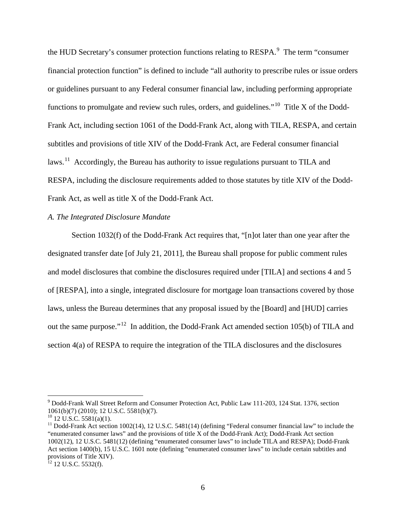the HUD Secretary's consumer protection functions relating to RESPA. $^9$  $^9$  The term "consumer" financial protection function" is defined to include "all authority to prescribe rules or issue orders or guidelines pursuant to any Federal consumer financial law, including performing appropriate functions to promulgate and review such rules, orders, and guidelines."<sup>10</sup> Title X of the Dodd-Frank Act, including section 1061 of the Dodd-Frank Act, along with TILA, RESPA, and certain subtitles and provisions of title XIV of the Dodd-Frank Act, are Federal consumer financial laws.<sup>11</sup> Accordingly, the Bureau has authority to issue regulations pursuant to TILA and RESPA, including the disclosure requirements added to those statutes by title XIV of the Dodd-Frank Act, as well as title X of the Dodd-Frank Act.

# *A. The Integrated Disclosure Mandate*

Section 1032(f) of the Dodd-Frank Act requires that, "[n]ot later than one year after the designated transfer date [of July 21, 2011], the Bureau shall propose for public comment rules and model disclosures that combine the disclosures required under [TILA] and sections 4 and 5 of [RESPA], into a single, integrated disclosure for mortgage loan transactions covered by those laws, unless the Bureau determines that any proposal issued by the [Board] and [HUD] carries out the same purpose."[12](#page-5-3) In addition, the Dodd-Frank Act amended section 105(b) of TILA and section 4(a) of RESPA to require the integration of the TILA disclosures and the disclosures

<span id="page-5-0"></span> <sup>9</sup> Dodd-Frank Wall Street Reform and Consumer Protection Act, Public Law 111-203, 124 Stat. 1376, section 1061(b)(7) (2010); 12 U.S.C. 5581(b)(7).<br><sup>10</sup> 12 U.S.C. 5581(a)(1).<br><sup>11</sup> Dodd-Frank Act section 1002(14), 12 U.S.C. 5481(14) (defining "Federal consumer financial law" to include the

<span id="page-5-1"></span>

<span id="page-5-2"></span><sup>&</sup>quot;enumerated consumer laws" and the provisions of title X of the Dodd-Frank Act); Dodd-Frank Act section 1002(12), 12 U.S.C. 5481(12) (defining "enumerated consumer laws" to include TILA and RESPA); Dodd-Frank Act section 1400(b), 15 U.S.C. 1601 note (defining "enumerated consumer laws" to include certain subtitles and provisions of Title XIV).<br><sup>12</sup> 12 U.S.C. 5532(f).

<span id="page-5-3"></span>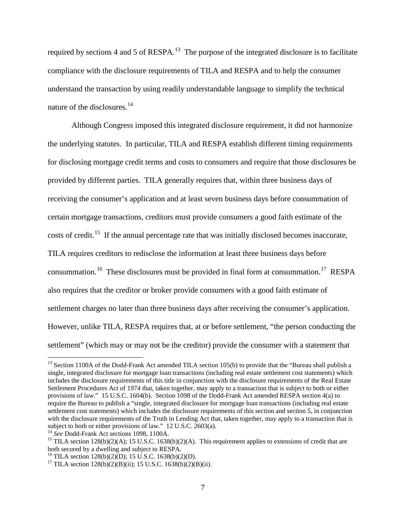required by sections 4 and 5 of  $RESPA$ <sup>[13](#page-6-0)</sup>. The purpose of the integrated disclosure is to facilitate compliance with the disclosure requirements of TILA and RESPA and to help the consumer understand the transaction by using readily understandable language to simplify the technical nature of the disclosures.<sup>14</sup>

Although Congress imposed this integrated disclosure requirement, it did not harmonize the underlying statutes. In particular, TILA and RESPA establish different timing requirements for disclosing mortgage credit terms and costs to consumers and require that those disclosures be provided by different parties. TILA generally requires that, within three business days of receiving the consumer's application and at least seven business days before consummation of certain mortgage transactions, creditors must provide consumers a good faith estimate of the costs of credit.<sup>15</sup> If the annual percentage rate that was initially disclosed becomes inaccurate, TILA requires creditors to redisclose the information at least three business days before consummation.<sup>[16](#page-6-3)</sup> These disclosures must be provided in final form at consummation.<sup>[17](#page-6-4)</sup> RESPA also requires that the creditor or broker provide consumers with a good faith estimate of settlement charges no later than three business days after receiving the consumer's application. However, unlike TILA, RESPA requires that, at or before settlement, "the person conducting the settlement" (which may or may not be the creditor) provide the consumer with a statement that

<span id="page-6-0"></span><sup>&</sup>lt;sup>13</sup> Section 1100A of the Dodd-Frank Act amended TILA section 105(b) to provide that the "Bureau shall publish a single, integrated disclosure for mortgage loan transactions (including real estate settlement cost statements) which includes the disclosure requirements of this title in conjunction with the disclosure requirements of the Real Estate Settlement Procedures Act of 1974 that, taken together, may apply to a transaction that is subject to both or either provisions of law." 15 U.S.C. 1604(b). Section 1098 of the Dodd-Frank Act amended RESPA section 4(a) to require the Bureau to publish a "single, integrated disclosure for mortgage loan transactions (including real estate settlement cost statements) which includes the disclosure requirements of this section and section 5, in conjunction with the disclosure requirements of the Truth in Lending Act that, taken together, may apply to a transaction that is subject to both or either provisions of law." 12 U.S.C. 2603(a).

<span id="page-6-2"></span><span id="page-6-1"></span><sup>&</sup>lt;sup>14</sup> See Dodd-Frank Act sections 1098, 1100A.<br><sup>15</sup> TILA section 128(b)(2)(A); 15 U.S.C. 1638(b)(2)(A). This requirement applies to extensions of credit that are both secured by a dwelling and subject to RESPA.<br><sup>16</sup> TILA section 128(b)(2)(D); 15 U.S.C. 1638(b)(2)(D).

<span id="page-6-3"></span>

<span id="page-6-4"></span><sup>&</sup>lt;sup>17</sup> TILA section  $128(b)(2)(B)(ii)$ ; 15 U.S.C. 1638(b)(2)(B)(ii).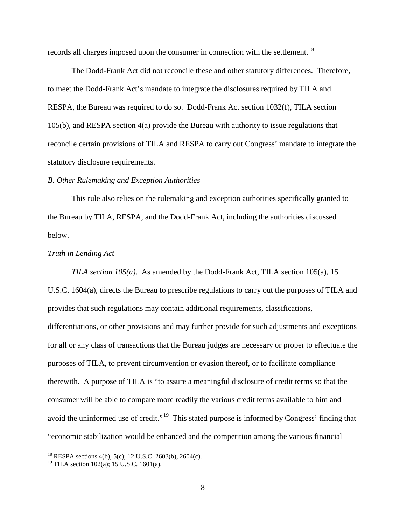records all charges imposed upon the consumer in connection with the settlement.<sup>18</sup>

The Dodd-Frank Act did not reconcile these and other statutory differences. Therefore, to meet the Dodd-Frank Act's mandate to integrate the disclosures required by TILA and RESPA, the Bureau was required to do so. Dodd-Frank Act section 1032(f), TILA section 105(b), and RESPA section 4(a) provide the Bureau with authority to issue regulations that reconcile certain provisions of TILA and RESPA to carry out Congress' mandate to integrate the statutory disclosure requirements.

# *B. Other Rulemaking and Exception Authorities*

This rule also relies on the rulemaking and exception authorities specifically granted to the Bureau by TILA, RESPA, and the Dodd-Frank Act, including the authorities discussed below.

### *Truth in Lending Act*

*TILA section 105(a)*. As amended by the Dodd-Frank Act, TILA section 105(a), 15 U.S.C. 1604(a), directs the Bureau to prescribe regulations to carry out the purposes of TILA and provides that such regulations may contain additional requirements, classifications, differentiations, or other provisions and may further provide for such adjustments and exceptions for all or any class of transactions that the Bureau judges are necessary or proper to effectuate the purposes of TILA, to prevent circumvention or evasion thereof, or to facilitate compliance therewith. A purpose of TILA is "to assure a meaningful disclosure of credit terms so that the consumer will be able to compare more readily the various credit terms available to him and avoid the uninformed use of credit."<sup>19</sup> This stated purpose is informed by Congress' finding that "economic stabilization would be enhanced and the competition among the various financial

<span id="page-7-0"></span> <sup>18</sup> RESPA sections 4(b), 5(c); 12 U.S.C. 2603(b), 2604(c).

<span id="page-7-1"></span><sup>&</sup>lt;sup>19</sup> TILA section  $102(a)$ ; 15 U.S.C. 1601(a).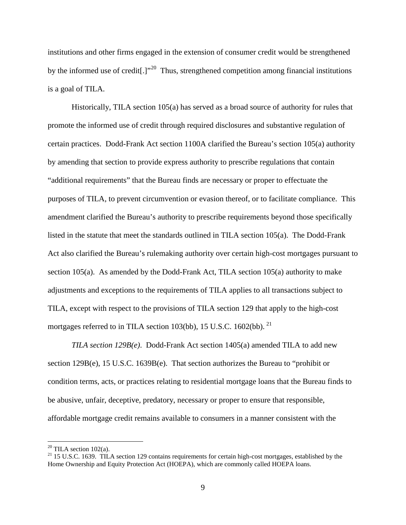institutions and other firms engaged in the extension of consumer credit would be strengthened by the informed use of credit<sup>[1]</sup><sup>20</sup>. Thus, strengthened competition among financial institutions is a goal of TILA.

Historically, TILA section 105(a) has served as a broad source of authority for rules that promote the informed use of credit through required disclosures and substantive regulation of certain practices. Dodd-Frank Act section 1100A clarified the Bureau's section 105(a) authority by amending that section to provide express authority to prescribe regulations that contain "additional requirements" that the Bureau finds are necessary or proper to effectuate the purposes of TILA, to prevent circumvention or evasion thereof, or to facilitate compliance. This amendment clarified the Bureau's authority to prescribe requirements beyond those specifically listed in the statute that meet the standards outlined in TILA section 105(a). The Dodd-Frank Act also clarified the Bureau's rulemaking authority over certain high-cost mortgages pursuant to section 105(a). As amended by the Dodd-Frank Act, TILA section 105(a) authority to make adjustments and exceptions to the requirements of TILA applies to all transactions subject to TILA, except with respect to the provisions of TILA section 129 that apply to the high-cost mortgages referred to in TILA section 103(bb), 15 U.S.C. 1602(bb).<sup>[21](#page-8-1)</sup>

*TILA section 129B(e)*. Dodd-Frank Act section 1405(a) amended TILA to add new section 129B(e), 15 U.S.C. 1639B(e). That section authorizes the Bureau to "prohibit or condition terms, acts, or practices relating to residential mortgage loans that the Bureau finds to be abusive, unfair, deceptive, predatory, necessary or proper to ensure that responsible, affordable mortgage credit remains available to consumers in a manner consistent with the

<span id="page-8-1"></span><span id="page-8-0"></span><sup>&</sup>lt;sup>20</sup> TILA section 102(a).<br><sup>21</sup> 15 U.S.C. 1639. TILA section 129 contains requirements for certain high-cost mortgages, established by the Home Ownership and Equity Protection Act (HOEPA), which are commonly called HOEPA loans.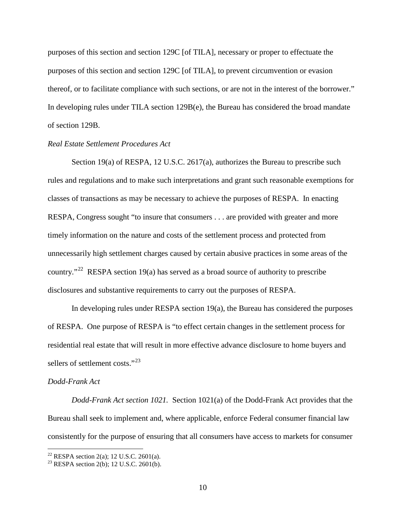purposes of this section and section 129C [of TILA], necessary or proper to effectuate the purposes of this section and section 129C [of TILA], to prevent circumvention or evasion thereof, or to facilitate compliance with such sections, or are not in the interest of the borrower." In developing rules under TILA section 129B(e), the Bureau has considered the broad mandate of section 129B.

# *Real Estate Settlement Procedures Act*

Section 19(a) of RESPA, 12 U.S.C. 2617(a), authorizes the Bureau to prescribe such rules and regulations and to make such interpretations and grant such reasonable exemptions for classes of transactions as may be necessary to achieve the purposes of RESPA. In enacting RESPA, Congress sought "to insure that consumers . . . are provided with greater and more timely information on the nature and costs of the settlement process and protected from unnecessarily high settlement charges caused by certain abusive practices in some areas of the country."<sup>22</sup> RESPA section 19(a) has served as a broad source of authority to prescribe disclosures and substantive requirements to carry out the purposes of RESPA.

In developing rules under RESPA section 19(a), the Bureau has considered the purposes of RESPA. One purpose of RESPA is "to effect certain changes in the settlement process for residential real estate that will result in more effective advance disclosure to home buyers and sellers of settlement costs."<sup>[23](#page-9-1)</sup>

### *Dodd-Frank Act*

*Dodd-Frank Act section 1021.* Section 1021(a) of the Dodd-Frank Act provides that the Bureau shall seek to implement and, where applicable, enforce Federal consumer financial law consistently for the purpose of ensuring that all consumers have access to markets for consumer

<span id="page-9-1"></span><span id="page-9-0"></span><sup>&</sup>lt;sup>22</sup> RESPA section 2(a); 12 U.S.C. 2601(a).<br><sup>23</sup> RESPA section 2(b); 12 U.S.C. 2601(b).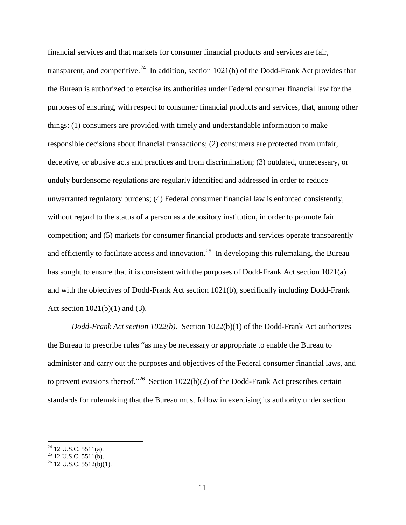financial services and that markets for consumer financial products and services are fair, transparent, and competitive.<sup>24</sup> In addition, section 1021(b) of the Dodd-Frank Act provides that the Bureau is authorized to exercise its authorities under Federal consumer financial law for the purposes of ensuring, with respect to consumer financial products and services, that, among other things: (1) consumers are provided with timely and understandable information to make responsible decisions about financial transactions; (2) consumers are protected from unfair, deceptive, or abusive acts and practices and from discrimination; (3) outdated, unnecessary, or unduly burdensome regulations are regularly identified and addressed in order to reduce unwarranted regulatory burdens; (4) Federal consumer financial law is enforced consistently, without regard to the status of a person as a depository institution, in order to promote fair competition; and (5) markets for consumer financial products and services operate transparently and efficiently to facilitate access and innovation.<sup>25</sup> In developing this rulemaking, the Bureau has sought to ensure that it is consistent with the purposes of Dodd-Frank Act section 1021(a) and with the objectives of Dodd-Frank Act section 1021(b), specifically including Dodd-Frank Act section 1021(b)(1) and (3).

*Dodd-Frank Act section 1022(b).* Section 1022(b)(1) of the Dodd-Frank Act authorizes the Bureau to prescribe rules "as may be necessary or appropriate to enable the Bureau to administer and carry out the purposes and objectives of the Federal consumer financial laws, and to prevent evasions thereof."<sup>26</sup> Section 1022(b)(2) of the Dodd-Frank Act prescribes certain standards for rulemaking that the Bureau must follow in exercising its authority under section

<span id="page-10-2"></span>

<span id="page-10-1"></span><span id="page-10-0"></span><sup>&</sup>lt;sup>24</sup> 12 U.S.C. 5511(a).<br><sup>25</sup> 12 U.S.C. 5511(b).<br><sup>26</sup> 12 U.S.C. 5512(b)(1).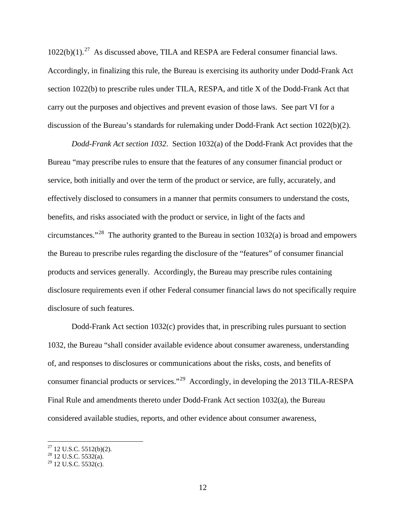$1022(b)(1).^{27}$  As discussed above, TILA and RESPA are Federal consumer financial laws. Accordingly, in finalizing this rule, the Bureau is exercising its authority under Dodd-Frank Act section 1022(b) to prescribe rules under TILA, RESPA, and title X of the Dodd-Frank Act that carry out the purposes and objectives and prevent evasion of those laws. See part VI for a discussion of the Bureau's standards for rulemaking under Dodd-Frank Act section 1022(b)(2).

*Dodd-Frank Act section 1032*. Section 1032(a) of the Dodd-Frank Act provides that the Bureau "may prescribe rules to ensure that the features of any consumer financial product or service, both initially and over the term of the product or service, are fully, accurately, and effectively disclosed to consumers in a manner that permits consumers to understand the costs, benefits, and risks associated with the product or service, in light of the facts and circumstances."<sup>28</sup> The authority granted to the Bureau in section  $1032(a)$  is broad and empowers the Bureau to prescribe rules regarding the disclosure of the "features" of consumer financial products and services generally. Accordingly, the Bureau may prescribe rules containing disclosure requirements even if other Federal consumer financial laws do not specifically require disclosure of such features.

Dodd-Frank Act section 1032(c) provides that, in prescribing rules pursuant to section 1032, the Bureau "shall consider available evidence about consumer awareness, understanding of, and responses to disclosures or communications about the risks, costs, and benefits of consumer financial products or services."[29](#page-11-2) Accordingly, in developing the 2013 TILA-RESPA Final Rule and amendments thereto under Dodd-Frank Act section 1032(a), the Bureau considered available studies, reports, and other evidence about consumer awareness,

<span id="page-11-1"></span><span id="page-11-0"></span><sup>&</sup>lt;sup>27</sup> 12 U.S.C. 5512(b)(2).<br><sup>28</sup> 12 U.S.C. 5532(a).

<span id="page-11-2"></span> $29$  12 U.S.C. 5532(c).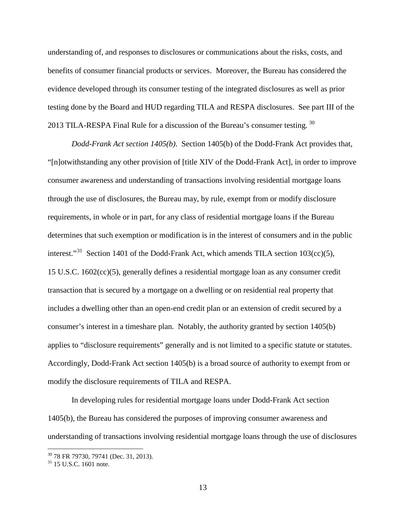understanding of, and responses to disclosures or communications about the risks, costs, and benefits of consumer financial products or services. Moreover, the Bureau has considered the evidence developed through its consumer testing of the integrated disclosures as well as prior testing done by the Board and HUD regarding TILA and RESPA disclosures. See part III of the 2013 TILA-RESPA Final Rule for a discussion of the Bureau's consumer testing.<sup>30</sup>

*Dodd-Frank Act section 1405(b)*. Section 1405(b) of the Dodd-Frank Act provides that, "[n]otwithstanding any other provision of [title XIV of the Dodd-Frank Act], in order to improve consumer awareness and understanding of transactions involving residential mortgage loans through the use of disclosures, the Bureau may, by rule, exempt from or modify disclosure requirements, in whole or in part, for any class of residential mortgage loans if the Bureau determines that such exemption or modification is in the interest of consumers and in the public interest."<sup>[31](#page-12-1)</sup> Section 1401 of the Dodd-Frank Act, which amends TILA section  $103(cc)(5)$ , 15 U.S.C. 1602(cc)(5), generally defines a residential mortgage loan as any consumer credit transaction that is secured by a mortgage on a dwelling or on residential real property that includes a dwelling other than an open-end credit plan or an extension of credit secured by a consumer's interest in a timeshare plan. Notably, the authority granted by section 1405(b) applies to "disclosure requirements" generally and is not limited to a specific statute or statutes. Accordingly, Dodd-Frank Act section 1405(b) is a broad source of authority to exempt from or modify the disclosure requirements of TILA and RESPA.

In developing rules for residential mortgage loans under Dodd-Frank Act section 1405(b), the Bureau has considered the purposes of improving consumer awareness and understanding of transactions involving residential mortgage loans through the use of disclosures

<span id="page-12-0"></span><sup>&</sup>lt;sup>30</sup> 78 FR 79730, 79741 (Dec. 31, 2013).<br><sup>31</sup> 15 U.S.C. 1601 note.

<span id="page-12-1"></span>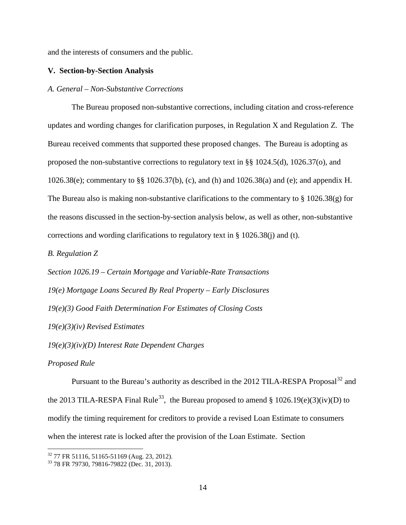and the interests of consumers and the public.

## **V. Section-by-Section Analysis**

## *A. General – Non-Substantive Corrections*

The Bureau proposed non-substantive corrections, including citation and cross-reference updates and wording changes for clarification purposes, in Regulation X and Regulation Z. The Bureau received comments that supported these proposed changes. The Bureau is adopting as proposed the non-substantive corrections to regulatory text in §§ 1024.5(d), 1026.37(o), and 1026.38(e); commentary to §§ 1026.37(b), (c), and (h) and 1026.38(a) and (e); and appendix H. The Bureau also is making non-substantive clarifications to the commentary to  $\S 1026.38(g)$  for the reasons discussed in the section-by-section analysis below, as well as other, non-substantive corrections and wording clarifications to regulatory text in § 1026.38(j) and (t).

*B. Regulation Z*

*Section 1026.19 – Certain Mortgage and Variable-Rate Transactions 19(e) Mortgage Loans Secured By Real Property – Early Disclosures 19(e)(3) Good Faith Determination For Estimates of Closing Costs 19(e)(3)(iv) Revised Estimates*

*19(e)(3)(iv)(D) Interest Rate Dependent Charges*

# *Proposed Rule*

Pursuant to the Bureau's authority as described in the 2012 TILA-RESPA Proposal<sup>[32](#page-13-0)</sup> and the 2013 TILA-RESPA Final Rule<sup>[33](#page-13-1)</sup>, the Bureau proposed to amend § 1026.19(e)(3)(iv)(D) to modify the timing requirement for creditors to provide a revised Loan Estimate to consumers when the interest rate is locked after the provision of the Loan Estimate. Section

<span id="page-13-1"></span>

<span id="page-13-0"></span><sup>&</sup>lt;sup>32</sup> 77 FR 51116, 51165-51169 (Aug. 23, 2012).<br><sup>33</sup> 78 FR 79730, 79816-79822 (Dec. 31, 2013).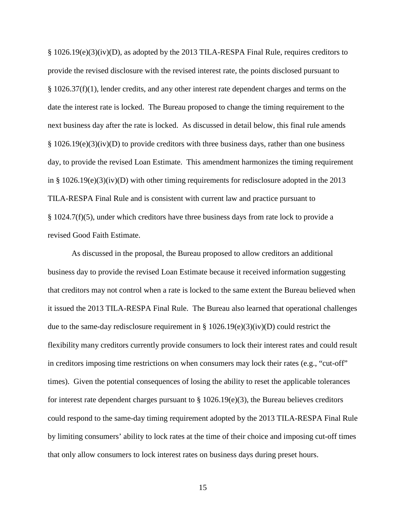§ 1026.19(e)(3)(iv)(D), as adopted by the 2013 TILA-RESPA Final Rule, requires creditors to provide the revised disclosure with the revised interest rate, the points disclosed pursuant to  $§$  1026.37(f)(1), lender credits, and any other interest rate dependent charges and terms on the date the interest rate is locked. The Bureau proposed to change the timing requirement to the next business day after the rate is locked. As discussed in detail below, this final rule amends  $§ 1026.19(e)(3)(iv)(D)$  to provide creditors with three business days, rather than one business day, to provide the revised Loan Estimate. This amendment harmonizes the timing requirement in §  $1026.19(e)(3)(iv)(D)$  with other timing requirements for redisclosure adopted in the 2013 TILA-RESPA Final Rule and is consistent with current law and practice pursuant to  $§$  1024.7(f)(5), under which creditors have three business days from rate lock to provide a revised Good Faith Estimate.

As discussed in the proposal, the Bureau proposed to allow creditors an additional business day to provide the revised Loan Estimate because it received information suggesting that creditors may not control when a rate is locked to the same extent the Bureau believed when it issued the 2013 TILA-RESPA Final Rule. The Bureau also learned that operational challenges due to the same-day redisclosure requirement in § 1026.19(e)(3)(iv)(D) could restrict the flexibility many creditors currently provide consumers to lock their interest rates and could result in creditors imposing time restrictions on when consumers may lock their rates (e.g., "cut-off" times). Given the potential consequences of losing the ability to reset the applicable tolerances for interest rate dependent charges pursuant to  $\S 1026.19(e)(3)$ , the Bureau believes creditors could respond to the same-day timing requirement adopted by the 2013 TILA-RESPA Final Rule by limiting consumers' ability to lock rates at the time of their choice and imposing cut-off times that only allow consumers to lock interest rates on business days during preset hours.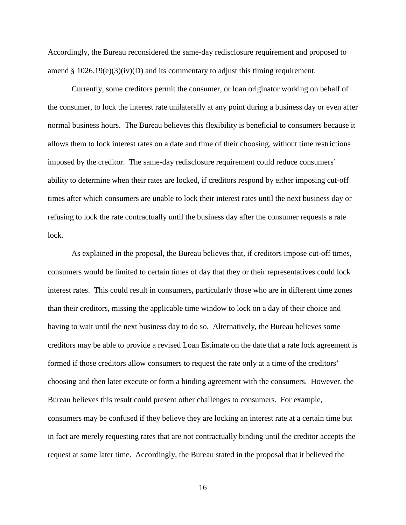Accordingly, the Bureau reconsidered the same-day redisclosure requirement and proposed to amend  $\S 1026.19(e)(3)(iv)(D)$  and its commentary to adjust this timing requirement.

Currently, some creditors permit the consumer, or loan originator working on behalf of the consumer, to lock the interest rate unilaterally at any point during a business day or even after normal business hours. The Bureau believes this flexibility is beneficial to consumers because it allows them to lock interest rates on a date and time of their choosing, without time restrictions imposed by the creditor. The same-day redisclosure requirement could reduce consumers' ability to determine when their rates are locked, if creditors respond by either imposing cut-off times after which consumers are unable to lock their interest rates until the next business day or refusing to lock the rate contractually until the business day after the consumer requests a rate lock.

As explained in the proposal, the Bureau believes that, if creditors impose cut-off times, consumers would be limited to certain times of day that they or their representatives could lock interest rates. This could result in consumers, particularly those who are in different time zones than their creditors, missing the applicable time window to lock on a day of their choice and having to wait until the next business day to do so. Alternatively, the Bureau believes some creditors may be able to provide a revised Loan Estimate on the date that a rate lock agreement is formed if those creditors allow consumers to request the rate only at a time of the creditors' choosing and then later execute or form a binding agreement with the consumers. However, the Bureau believes this result could present other challenges to consumers. For example, consumers may be confused if they believe they are locking an interest rate at a certain time but in fact are merely requesting rates that are not contractually binding until the creditor accepts the request at some later time. Accordingly, the Bureau stated in the proposal that it believed the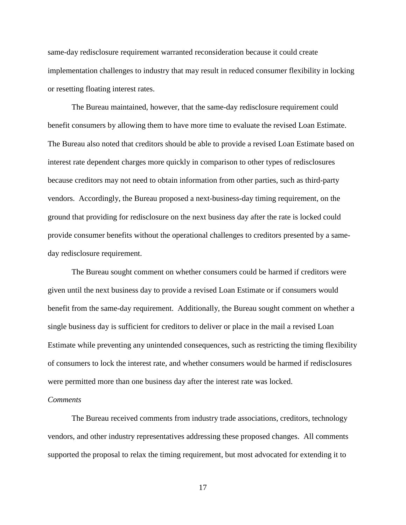same-day redisclosure requirement warranted reconsideration because it could create implementation challenges to industry that may result in reduced consumer flexibility in locking or resetting floating interest rates.

The Bureau maintained, however, that the same-day redisclosure requirement could benefit consumers by allowing them to have more time to evaluate the revised Loan Estimate. The Bureau also noted that creditors should be able to provide a revised Loan Estimate based on interest rate dependent charges more quickly in comparison to other types of redisclosures because creditors may not need to obtain information from other parties, such as third-party vendors. Accordingly, the Bureau proposed a next-business-day timing requirement, on the ground that providing for redisclosure on the next business day after the rate is locked could provide consumer benefits without the operational challenges to creditors presented by a sameday redisclosure requirement.

The Bureau sought comment on whether consumers could be harmed if creditors were given until the next business day to provide a revised Loan Estimate or if consumers would benefit from the same-day requirement. Additionally, the Bureau sought comment on whether a single business day is sufficient for creditors to deliver or place in the mail a revised Loan Estimate while preventing any unintended consequences, such as restricting the timing flexibility of consumers to lock the interest rate, and whether consumers would be harmed if redisclosures were permitted more than one business day after the interest rate was locked.

### *Comments*

The Bureau received comments from industry trade associations, creditors, technology vendors, and other industry representatives addressing these proposed changes. All comments supported the proposal to relax the timing requirement, but most advocated for extending it to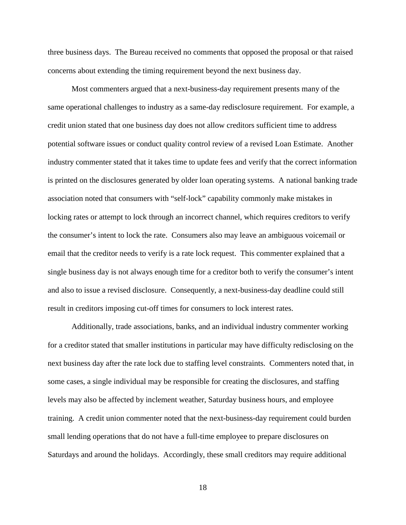three business days. The Bureau received no comments that opposed the proposal or that raised concerns about extending the timing requirement beyond the next business day.

Most commenters argued that a next-business-day requirement presents many of the same operational challenges to industry as a same-day redisclosure requirement. For example, a credit union stated that one business day does not allow creditors sufficient time to address potential software issues or conduct quality control review of a revised Loan Estimate. Another industry commenter stated that it takes time to update fees and verify that the correct information is printed on the disclosures generated by older loan operating systems. A national banking trade association noted that consumers with "self-lock" capability commonly make mistakes in locking rates or attempt to lock through an incorrect channel, which requires creditors to verify the consumer's intent to lock the rate. Consumers also may leave an ambiguous voicemail or email that the creditor needs to verify is a rate lock request. This commenter explained that a single business day is not always enough time for a creditor both to verify the consumer's intent and also to issue a revised disclosure. Consequently, a next-business-day deadline could still result in creditors imposing cut-off times for consumers to lock interest rates.

Additionally, trade associations, banks, and an individual industry commenter working for a creditor stated that smaller institutions in particular may have difficulty redisclosing on the next business day after the rate lock due to staffing level constraints. Commenters noted that, in some cases, a single individual may be responsible for creating the disclosures, and staffing levels may also be affected by inclement weather, Saturday business hours, and employee training. A credit union commenter noted that the next-business-day requirement could burden small lending operations that do not have a full-time employee to prepare disclosures on Saturdays and around the holidays. Accordingly, these small creditors may require additional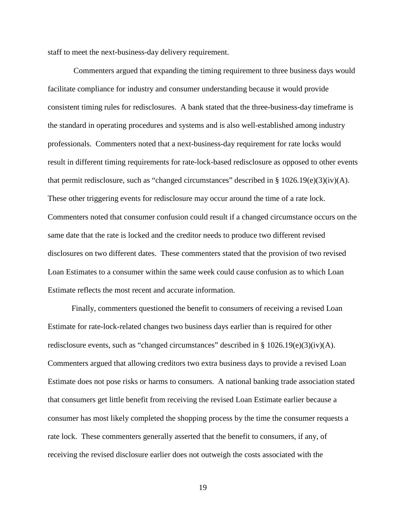staff to meet the next-business-day delivery requirement.

Commenters argued that expanding the timing requirement to three business days would facilitate compliance for industry and consumer understanding because it would provide consistent timing rules for redisclosures. A bank stated that the three-business-day timeframe is the standard in operating procedures and systems and is also well-established among industry professionals. Commenters noted that a next-business-day requirement for rate locks would result in different timing requirements for rate-lock-based redisclosure as opposed to other events that permit redisclosure, such as "changed circumstances" described in §  $1026.19(e)(3)(iv)(A)$ . These other triggering events for redisclosure may occur around the time of a rate lock. Commenters noted that consumer confusion could result if a changed circumstance occurs on the same date that the rate is locked and the creditor needs to produce two different revised disclosures on two different dates. These commenters stated that the provision of two revised Loan Estimates to a consumer within the same week could cause confusion as to which Loan Estimate reflects the most recent and accurate information.

Finally, commenters questioned the benefit to consumers of receiving a revised Loan Estimate for rate-lock-related changes two business days earlier than is required for other redisclosure events, such as "changed circumstances" described in §  $1026.19(e)(3)(iv)(A)$ . Commenters argued that allowing creditors two extra business days to provide a revised Loan Estimate does not pose risks or harms to consumers. A national banking trade association stated that consumers get little benefit from receiving the revised Loan Estimate earlier because a consumer has most likely completed the shopping process by the time the consumer requests a rate lock. These commenters generally asserted that the benefit to consumers, if any, of receiving the revised disclosure earlier does not outweigh the costs associated with the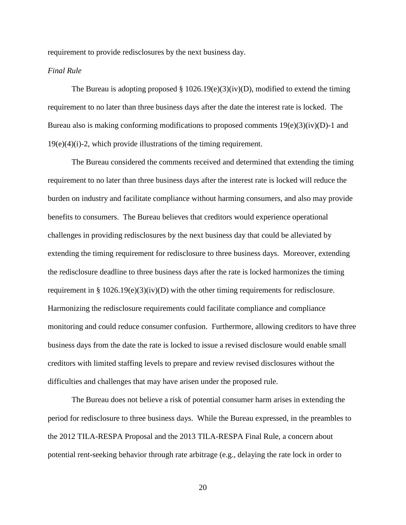requirement to provide redisclosures by the next business day.

## *Final Rule*

The Bureau is adopting proposed  $\S 1026.19(e)(3)(iv)(D)$ , modified to extend the timing requirement to no later than three business days after the date the interest rate is locked. The Bureau also is making conforming modifications to proposed comments  $19(e)(3)(iv)(D)-1$  and 19(e)(4)(i)-2, which provide illustrations of the timing requirement.

The Bureau considered the comments received and determined that extending the timing requirement to no later than three business days after the interest rate is locked will reduce the burden on industry and facilitate compliance without harming consumers, and also may provide benefits to consumers. The Bureau believes that creditors would experience operational challenges in providing redisclosures by the next business day that could be alleviated by extending the timing requirement for redisclosure to three business days. Moreover, extending the redisclosure deadline to three business days after the rate is locked harmonizes the timing requirement in §  $1026.19(e)(3)(iv)(D)$  with the other timing requirements for redisclosure. Harmonizing the redisclosure requirements could facilitate compliance and compliance monitoring and could reduce consumer confusion. Furthermore, allowing creditors to have three business days from the date the rate is locked to issue a revised disclosure would enable small creditors with limited staffing levels to prepare and review revised disclosures without the difficulties and challenges that may have arisen under the proposed rule.

The Bureau does not believe a risk of potential consumer harm arises in extending the period for redisclosure to three business days. While the Bureau expressed, in the preambles to the 2012 TILA-RESPA Proposal and the 2013 TILA-RESPA Final Rule, a concern about potential rent-seeking behavior through rate arbitrage (e.g., delaying the rate lock in order to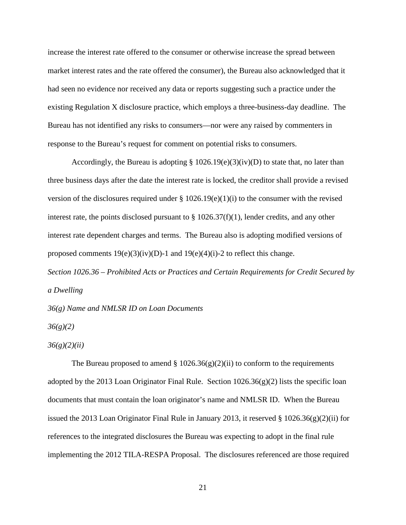increase the interest rate offered to the consumer or otherwise increase the spread between market interest rates and the rate offered the consumer), the Bureau also acknowledged that it had seen no evidence nor received any data or reports suggesting such a practice under the existing Regulation X disclosure practice, which employs a three-business-day deadline. The Bureau has not identified any risks to consumers—nor were any raised by commenters in response to the Bureau's request for comment on potential risks to consumers.

Accordingly, the Bureau is adopting  $\S 1026.19(e)(3)(iv)(D)$  to state that, no later than three business days after the date the interest rate is locked, the creditor shall provide a revised version of the disclosures required under  $\S 1026.19(e)(1)(i)$  to the consumer with the revised interest rate, the points disclosed pursuant to  $\S 1026.37(f)(1)$ , lender credits, and any other interest rate dependent charges and terms. The Bureau also is adopting modified versions of proposed comments  $19(e)(3)(iv)(D)-1$  and  $19(e)(4)(i)-2$  to reflect this change.

*Section 1026.36 – Prohibited Acts or Practices and Certain Requirements for Credit Secured by a Dwelling*

*36(g) Name and NMLSR ID on Loan Documents*

*36(g)(2)*

*36(g)(2)(ii)*

The Bureau proposed to amend §  $1026.36(g)(2)(ii)$  to conform to the requirements adopted by the 2013 Loan Originator Final Rule. Section  $1026.36(g)(2)$  lists the specific loan documents that must contain the loan originator's name and NMLSR ID. When the Bureau issued the 2013 Loan Originator Final Rule in January 2013, it reserved  $\S 1026.36(g)(2)(ii)$  for references to the integrated disclosures the Bureau was expecting to adopt in the final rule implementing the 2012 TILA-RESPA Proposal. The disclosures referenced are those required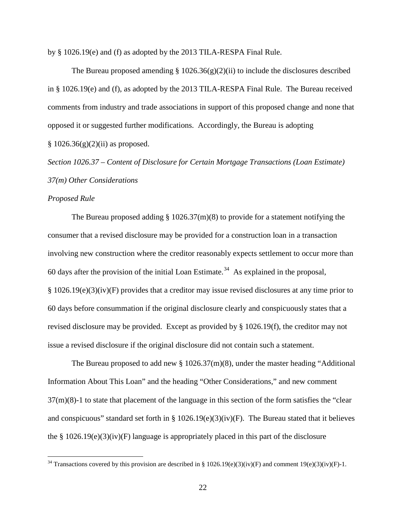by § 1026.19(e) and (f) as adopted by the 2013 TILA-RESPA Final Rule.

The Bureau proposed amending  $\S 1026.36(g)(2)(ii)$  to include the disclosures described in § 1026.19(e) and (f), as adopted by the 2013 TILA-RESPA Final Rule. The Bureau received comments from industry and trade associations in support of this proposed change and none that opposed it or suggested further modifications. Accordingly, the Bureau is adopting  $§ 1026.36(g)(2)(ii)$  as proposed.

*Section 1026.37 – Content of Disclosure for Certain Mortgage Transactions (Loan Estimate) 37(m) Other Considerations*

# *Proposed Rule*

The Bureau proposed adding  $\S 1026.37(m)(8)$  to provide for a statement notifying the consumer that a revised disclosure may be provided for a construction loan in a transaction involving new construction where the creditor reasonably expects settlement to occur more than 60 days after the provision of the initial Loan Estimate.<sup>34</sup> As explained in the proposal, § 1026.19(e)(3)(iv)(F) provides that a creditor may issue revised disclosures at any time prior to 60 days before consummation if the original disclosure clearly and conspicuously states that a revised disclosure may be provided. Except as provided by § 1026.19(f), the creditor may not issue a revised disclosure if the original disclosure did not contain such a statement.

The Bureau proposed to add new § 1026.37(m)(8), under the master heading "Additional Information About This Loan" and the heading "Other Considerations," and new comment 37(m)(8)-1 to state that placement of the language in this section of the form satisfies the "clear and conspicuous" standard set forth in §  $1026.19(e)(3)(iv)(F)$ . The Bureau stated that it believes the  $\S 1026.19(e)(3)(iv)(F)$  language is appropriately placed in this part of the disclosure

<span id="page-21-0"></span><sup>&</sup>lt;sup>34</sup> Transactions covered by this provision are described in § 1026.19(e)(3)(iv)(F) and comment 19(e)(3)(iv)(F)-1.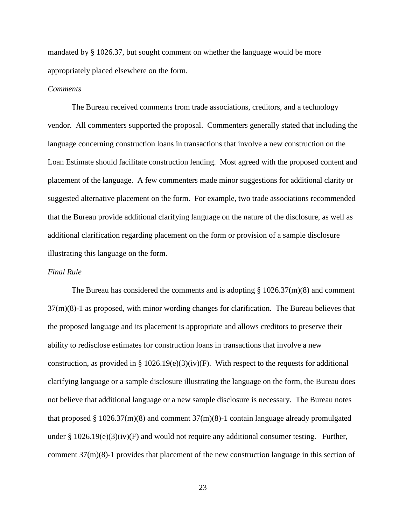mandated by § 1026.37, but sought comment on whether the language would be more appropriately placed elsewhere on the form.

# *Comments*

The Bureau received comments from trade associations, creditors, and a technology vendor. All commenters supported the proposal. Commenters generally stated that including the language concerning construction loans in transactions that involve a new construction on the Loan Estimate should facilitate construction lending. Most agreed with the proposed content and placement of the language. A few commenters made minor suggestions for additional clarity or suggested alternative placement on the form. For example, two trade associations recommended that the Bureau provide additional clarifying language on the nature of the disclosure, as well as additional clarification regarding placement on the form or provision of a sample disclosure illustrating this language on the form.

# *Final Rule*

The Bureau has considered the comments and is adopting  $\S 1026.37(m)(8)$  and comment 37(m)(8)-1 as proposed, with minor wording changes for clarification. The Bureau believes that the proposed language and its placement is appropriate and allows creditors to preserve their ability to redisclose estimates for construction loans in transactions that involve a new construction, as provided in §  $1026.19(e)(3)(iv)(F)$ . With respect to the requests for additional clarifying language or a sample disclosure illustrating the language on the form, the Bureau does not believe that additional language or a new sample disclosure is necessary. The Bureau notes that proposed § 1026.37(m)(8) and comment  $37(m)(8)$ -1 contain language already promulgated under  $\S 1026.19(e)(3)(iv)$  and would not require any additional consumer testing. Further, comment 37(m)(8)-1 provides that placement of the new construction language in this section of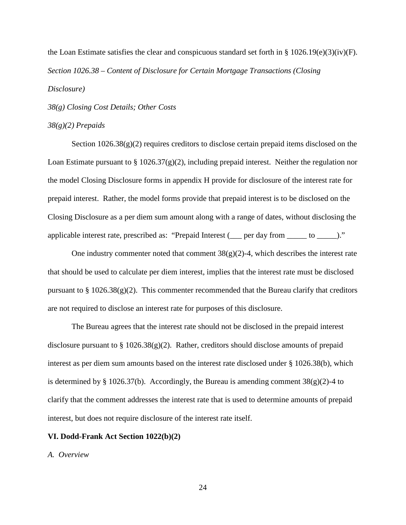the Loan Estimate satisfies the clear and conspicuous standard set forth in §  $1026.19(e)(3)(iv)(F)$ . *Section 1026.38 – Content of Disclosure for Certain Mortgage Transactions (Closing Disclosure)*

*38(g) Closing Cost Details; Other Costs*

### *38(g)(2) Prepaids*

Section  $1026.38(g)(2)$  requires creditors to disclose certain prepaid items disclosed on the Loan Estimate pursuant to § 1026.37(g)(2), including prepaid interest. Neither the regulation nor the model Closing Disclosure forms in appendix H provide for disclosure of the interest rate for prepaid interest. Rather, the model forms provide that prepaid interest is to be disclosed on the Closing Disclosure as a per diem sum amount along with a range of dates, without disclosing the applicable interest rate, prescribed as: "Prepaid Interest (\_\_\_ per day from \_\_\_\_\_ to \_\_\_\_\_)."

One industry commenter noted that comment  $38(g)(2)$ -4, which describes the interest rate that should be used to calculate per diem interest, implies that the interest rate must be disclosed pursuant to § 1026.38(g)(2). This commenter recommended that the Bureau clarify that creditors are not required to disclose an interest rate for purposes of this disclosure.

The Bureau agrees that the interest rate should not be disclosed in the prepaid interest disclosure pursuant to  $\S 1026.38(g)(2)$ . Rather, creditors should disclose amounts of prepaid interest as per diem sum amounts based on the interest rate disclosed under § 1026.38(b), which is determined by § 1026.37(b). Accordingly, the Bureau is amending comment  $38(g)(2)$ -4 to clarify that the comment addresses the interest rate that is used to determine amounts of prepaid interest, but does not require disclosure of the interest rate itself.

# **VI. Dodd-Frank Act Section 1022(b)(2)**

## *A. Overview*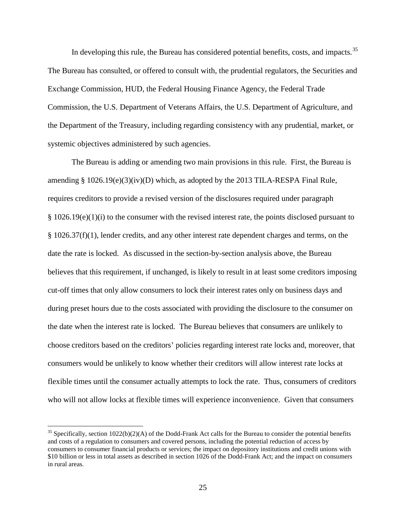In developing this rule, the Bureau has considered potential benefits, costs, and impacts.<sup>[35](#page-24-0)</sup> The Bureau has consulted, or offered to consult with, the prudential regulators, the Securities and Exchange Commission, HUD, the Federal Housing Finance Agency, the Federal Trade Commission, the U.S. Department of Veterans Affairs, the U.S. Department of Agriculture, and the Department of the Treasury, including regarding consistency with any prudential, market, or systemic objectives administered by such agencies.

The Bureau is adding or amending two main provisions in this rule. First, the Bureau is amending § 1026.19(e)(3)(iv)(D) which, as adopted by the 2013 TILA-RESPA Final Rule, requires creditors to provide a revised version of the disclosures required under paragraph  $§ 1026.19(e)(1)(i)$  to the consumer with the revised interest rate, the points disclosed pursuant to § 1026.37(f)(1), lender credits, and any other interest rate dependent charges and terms, on the date the rate is locked. As discussed in the section-by-section analysis above, the Bureau believes that this requirement, if unchanged, is likely to result in at least some creditors imposing cut-off times that only allow consumers to lock their interest rates only on business days and during preset hours due to the costs associated with providing the disclosure to the consumer on the date when the interest rate is locked. The Bureau believes that consumers are unlikely to choose creditors based on the creditors' policies regarding interest rate locks and, moreover, that consumers would be unlikely to know whether their creditors will allow interest rate locks at flexible times until the consumer actually attempts to lock the rate. Thus, consumers of creditors who will not allow locks at flexible times will experience inconvenience. Given that consumers

<span id="page-24-0"></span><sup>&</sup>lt;sup>35</sup> Specifically, section  $1022(b)(2)(A)$  of the Dodd-Frank Act calls for the Bureau to consider the potential benefits and costs of a regulation to consumers and covered persons, including the potential reduction of access by consumers to consumer financial products or services; the impact on depository institutions and credit unions with \$10 billion or less in total assets as described in section 1026 of the Dodd-Frank Act; and the impact on consumers in rural areas.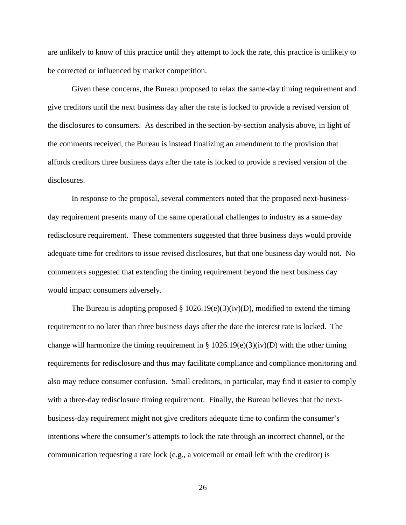are unlikely to know of this practice until they attempt to lock the rate, this practice is unlikely to be corrected or influenced by market competition.

Given these concerns, the Bureau proposed to relax the same-day timing requirement and give creditors until the next business day after the rate is locked to provide a revised version of the disclosures to consumers. As described in the section-by-section analysis above, in light of the comments received, the Bureau is instead finalizing an amendment to the provision that affords creditors three business days after the rate is locked to provide a revised version of the disclosures.

In response to the proposal, several commenters noted that the proposed next-businessday requirement presents many of the same operational challenges to industry as a same-day redisclosure requirement. These commenters suggested that three business days would provide adequate time for creditors to issue revised disclosures, but that one business day would not. No commenters suggested that extending the timing requirement beyond the next business day would impact consumers adversely.

The Bureau is adopting proposed  $\S 1026.19(e)(3)(iv)(D)$ , modified to extend the timing requirement to no later than three business days after the date the interest rate is locked. The change will harmonize the timing requirement in  $\S 1026.19(e)(3)(iv)(D)$  with the other timing requirements for redisclosure and thus may facilitate compliance and compliance monitoring and also may reduce consumer confusion. Small creditors, in particular, may find it easier to comply with a three-day redisclosure timing requirement. Finally, the Bureau believes that the nextbusiness-day requirement might not give creditors adequate time to confirm the consumer's intentions where the consumer's attempts to lock the rate through an incorrect channel, or the communication requesting a rate lock (e.g., a voicemail or email left with the creditor) is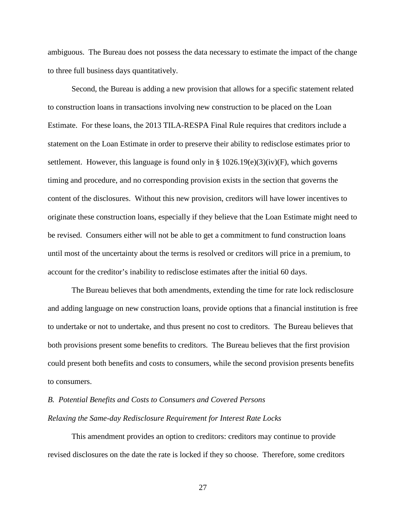ambiguous. The Bureau does not possess the data necessary to estimate the impact of the change to three full business days quantitatively.

Second, the Bureau is adding a new provision that allows for a specific statement related to construction loans in transactions involving new construction to be placed on the Loan Estimate. For these loans, the 2013 TILA-RESPA Final Rule requires that creditors include a statement on the Loan Estimate in order to preserve their ability to redisclose estimates prior to settlement. However, this language is found only in §  $1026.19(e)(3)(iv)(F)$ , which governs timing and procedure, and no corresponding provision exists in the section that governs the content of the disclosures. Without this new provision, creditors will have lower incentives to originate these construction loans, especially if they believe that the Loan Estimate might need to be revised. Consumers either will not be able to get a commitment to fund construction loans until most of the uncertainty about the terms is resolved or creditors will price in a premium, to account for the creditor's inability to redisclose estimates after the initial 60 days.

The Bureau believes that both amendments, extending the time for rate lock redisclosure and adding language on new construction loans, provide options that a financial institution is free to undertake or not to undertake, and thus present no cost to creditors. The Bureau believes that both provisions present some benefits to creditors. The Bureau believes that the first provision could present both benefits and costs to consumers, while the second provision presents benefits to consumers.

# *B. Potential Benefits and Costs to Consumers and Covered Persons Relaxing the Same-day Redisclosure Requirement for Interest Rate Locks*

This amendment provides an option to creditors: creditors may continue to provide revised disclosures on the date the rate is locked if they so choose. Therefore, some creditors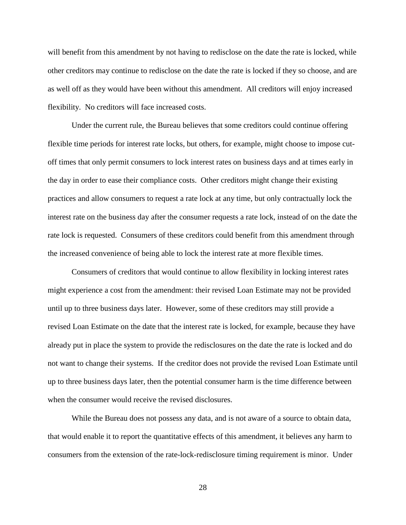will benefit from this amendment by not having to redisclose on the date the rate is locked, while other creditors may continue to redisclose on the date the rate is locked if they so choose, and are as well off as they would have been without this amendment. All creditors will enjoy increased flexibility. No creditors will face increased costs.

Under the current rule, the Bureau believes that some creditors could continue offering flexible time periods for interest rate locks, but others, for example, might choose to impose cutoff times that only permit consumers to lock interest rates on business days and at times early in the day in order to ease their compliance costs. Other creditors might change their existing practices and allow consumers to request a rate lock at any time, but only contractually lock the interest rate on the business day after the consumer requests a rate lock, instead of on the date the rate lock is requested. Consumers of these creditors could benefit from this amendment through the increased convenience of being able to lock the interest rate at more flexible times.

Consumers of creditors that would continue to allow flexibility in locking interest rates might experience a cost from the amendment: their revised Loan Estimate may not be provided until up to three business days later. However, some of these creditors may still provide a revised Loan Estimate on the date that the interest rate is locked, for example, because they have already put in place the system to provide the redisclosures on the date the rate is locked and do not want to change their systems. If the creditor does not provide the revised Loan Estimate until up to three business days later, then the potential consumer harm is the time difference between when the consumer would receive the revised disclosures.

While the Bureau does not possess any data, and is not aware of a source to obtain data, that would enable it to report the quantitative effects of this amendment, it believes any harm to consumers from the extension of the rate-lock-redisclosure timing requirement is minor. Under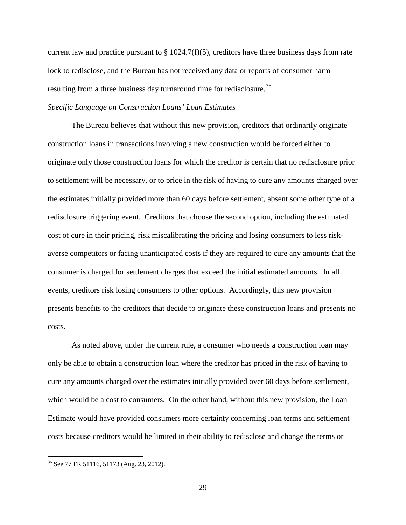current law and practice pursuant to  $\S 1024.7(f)(5)$ , creditors have three business days from rate lock to redisclose, and the Bureau has not received any data or reports of consumer harm resulting from a three business day turnaround time for redisclosure.<sup>[36](#page-28-0)</sup>

# *Specific Language on Construction Loans' Loan Estimates*

The Bureau believes that without this new provision, creditors that ordinarily originate construction loans in transactions involving a new construction would be forced either to originate only those construction loans for which the creditor is certain that no redisclosure prior to settlement will be necessary, or to price in the risk of having to cure any amounts charged over the estimates initially provided more than 60 days before settlement, absent some other type of a redisclosure triggering event. Creditors that choose the second option, including the estimated cost of cure in their pricing, risk miscalibrating the pricing and losing consumers to less riskaverse competitors or facing unanticipated costs if they are required to cure any amounts that the consumer is charged for settlement charges that exceed the initial estimated amounts. In all events, creditors risk losing consumers to other options. Accordingly, this new provision presents benefits to the creditors that decide to originate these construction loans and presents no costs.

As noted above, under the current rule, a consumer who needs a construction loan may only be able to obtain a construction loan where the creditor has priced in the risk of having to cure any amounts charged over the estimates initially provided over 60 days before settlement, which would be a cost to consumers. On the other hand, without this new provision, the Loan Estimate would have provided consumers more certainty concerning loan terms and settlement costs because creditors would be limited in their ability to redisclose and change the terms or

<span id="page-28-0"></span> <sup>36</sup> See 77 FR 51116, 51173 (Aug. 23, 2012).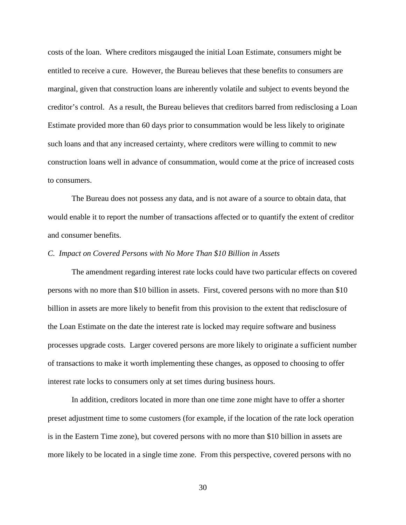costs of the loan. Where creditors misgauged the initial Loan Estimate, consumers might be entitled to receive a cure. However, the Bureau believes that these benefits to consumers are marginal, given that construction loans are inherently volatile and subject to events beyond the creditor's control. As a result, the Bureau believes that creditors barred from redisclosing a Loan Estimate provided more than 60 days prior to consummation would be less likely to originate such loans and that any increased certainty, where creditors were willing to commit to new construction loans well in advance of consummation, would come at the price of increased costs to consumers.

The Bureau does not possess any data, and is not aware of a source to obtain data, that would enable it to report the number of transactions affected or to quantify the extent of creditor and consumer benefits.

### *C. Impact on Covered Persons with No More Than \$10 Billion in Assets*

The amendment regarding interest rate locks could have two particular effects on covered persons with no more than \$10 billion in assets. First, covered persons with no more than \$10 billion in assets are more likely to benefit from this provision to the extent that redisclosure of the Loan Estimate on the date the interest rate is locked may require software and business processes upgrade costs. Larger covered persons are more likely to originate a sufficient number of transactions to make it worth implementing these changes, as opposed to choosing to offer interest rate locks to consumers only at set times during business hours.

In addition, creditors located in more than one time zone might have to offer a shorter preset adjustment time to some customers (for example, if the location of the rate lock operation is in the Eastern Time zone), but covered persons with no more than \$10 billion in assets are more likely to be located in a single time zone. From this perspective, covered persons with no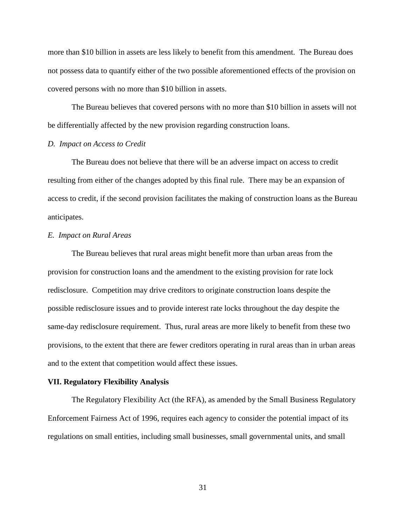more than \$10 billion in assets are less likely to benefit from this amendment. The Bureau does not possess data to quantify either of the two possible aforementioned effects of the provision on covered persons with no more than \$10 billion in assets.

The Bureau believes that covered persons with no more than \$10 billion in assets will not be differentially affected by the new provision regarding construction loans.

### *D. Impact on Access to Credit*

The Bureau does not believe that there will be an adverse impact on access to credit resulting from either of the changes adopted by this final rule. There may be an expansion of access to credit, if the second provision facilitates the making of construction loans as the Bureau anticipates.

### *E. Impact on Rural Areas*

The Bureau believes that rural areas might benefit more than urban areas from the provision for construction loans and the amendment to the existing provision for rate lock redisclosure. Competition may drive creditors to originate construction loans despite the possible redisclosure issues and to provide interest rate locks throughout the day despite the same-day redisclosure requirement. Thus, rural areas are more likely to benefit from these two provisions, to the extent that there are fewer creditors operating in rural areas than in urban areas and to the extent that competition would affect these issues.

#### **VII. Regulatory Flexibility Analysis**

The Regulatory Flexibility Act (the RFA), as amended by the Small Business Regulatory Enforcement Fairness Act of 1996, requires each agency to consider the potential impact of its regulations on small entities, including small businesses, small governmental units, and small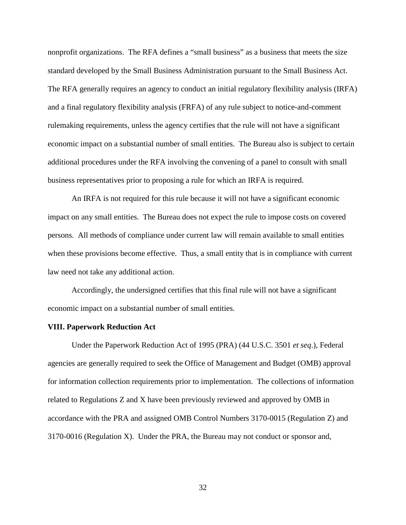nonprofit organizations. The RFA defines a "small business" as a business that meets the size standard developed by the Small Business Administration pursuant to the Small Business Act. The RFA generally requires an agency to conduct an initial regulatory flexibility analysis (IRFA) and a final regulatory flexibility analysis (FRFA) of any rule subject to notice-and-comment rulemaking requirements, unless the agency certifies that the rule will not have a significant economic impact on a substantial number of small entities. The Bureau also is subject to certain additional procedures under the RFA involving the convening of a panel to consult with small business representatives prior to proposing a rule for which an IRFA is required.

An IRFA is not required for this rule because it will not have a significant economic impact on any small entities. The Bureau does not expect the rule to impose costs on covered persons. All methods of compliance under current law will remain available to small entities when these provisions become effective. Thus, a small entity that is in compliance with current law need not take any additional action.

Accordingly, the undersigned certifies that this final rule will not have a significant economic impact on a substantial number of small entities.

### **VIII. Paperwork Reduction Act**

Under the Paperwork Reduction Act of 1995 (PRA) (44 U.S.C. 3501 *et seq*.), Federal agencies are generally required to seek the Office of Management and Budget (OMB) approval for information collection requirements prior to implementation. The collections of information related to Regulations Z and X have been previously reviewed and approved by OMB in accordance with the PRA and assigned OMB Control Numbers 3170-0015 (Regulation Z) and 3170-0016 (Regulation X). Under the PRA, the Bureau may not conduct or sponsor and,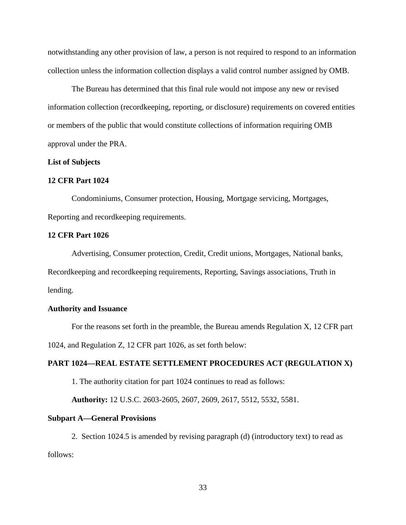notwithstanding any other provision of law, a person is not required to respond to an information collection unless the information collection displays a valid control number assigned by OMB.

The Bureau has determined that this final rule would not impose any new or revised information collection (recordkeeping, reporting, or disclosure) requirements on covered entities or members of the public that would constitute collections of information requiring OMB approval under the PRA.

### **List of Subjects**

### **12 CFR Part 1024**

Condominiums, Consumer protection, Housing, Mortgage servicing, Mortgages, Reporting and recordkeeping requirements.

### **12 CFR Part 1026**

Advertising, Consumer protection, Credit, Credit unions, Mortgages, National banks, Recordkeeping and recordkeeping requirements, Reporting, Savings associations, Truth in lending.

### **Authority and Issuance**

For the reasons set forth in the preamble, the Bureau amends Regulation X, 12 CFR part 1024, and Regulation Z, 12 CFR part 1026, as set forth below:

# **PART 1024—REAL ESTATE SETTLEMENT PROCEDURES ACT (REGULATION X)**

1. The authority citation for part 1024 continues to read as follows:

**Authority:** 12 U.S.C. 2603-2605, 2607, 2609, 2617, 5512, 5532, 5581.

### **Subpart A—General Provisions**

2. Section 1024.5 is amended by revising paragraph (d) (introductory text) to read as follows: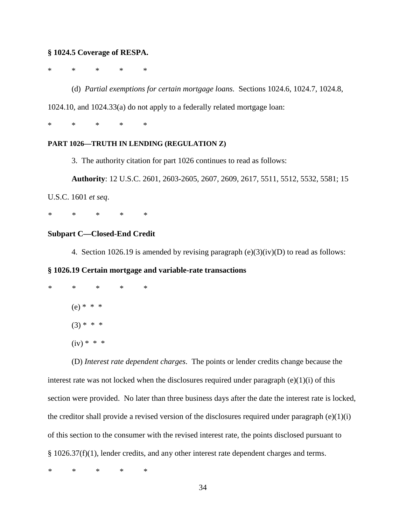## **§ 1024.5 Coverage of RESPA.**

\* \* \* \* \*

(d) *Partial exemptions for certain mortgage loans.* Sections 1024.6, 1024.7, 1024.8,

1024.10, and 1024.33(a) do not apply to a federally related mortgage loan:

\* \* \* \* \*

## **PART 1026—TRUTH IN LENDING (REGULATION Z)**

3. The authority citation for part 1026 continues to read as follows:

**Authority**: 12 U.S.C. 2601, 2603-2605, 2607, 2609, 2617, 5511, 5512, 5532, 5581; 15

U.S.C. 1601 *et seq*.

*\* \* \* \* \**

# **Subpart C—Closed-End Credit**

4. Section 1026.19 is amended by revising paragraph  $(e)(3)(iv)(D)$  to read as follows:

# **§ 1026.19 Certain mortgage and variable-rate transactions**

- *\* \* \* \* \**
	- $(e) * * * *$
	- $(3) * * * *$
	- $(iv) * * * *$

(D) *Interest rate dependent charges*. The points or lender credits change because the interest rate was not locked when the disclosures required under paragraph  $(e)(1)(i)$  of this section were provided. No later than three business days after the date the interest rate is locked, the creditor shall provide a revised version of the disclosures required under paragraph  $(e)(1)(i)$ of this section to the consumer with the revised interest rate, the points disclosed pursuant to § 1026.37(f)(1), lender credits, and any other interest rate dependent charges and terms.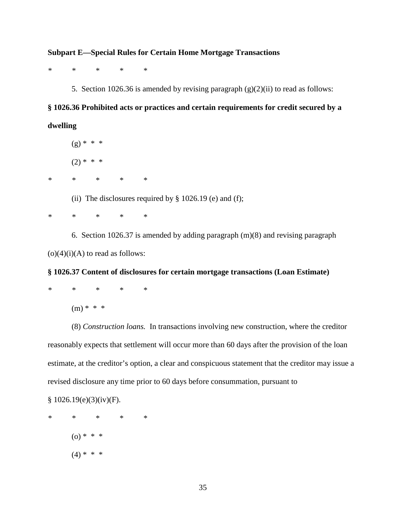## **Subpart E—Special Rules for Certain Home Mortgage Transactions**

*\* \* \* \* \** 

5. Section 1026.36 is amended by revising paragraph  $(g)(2)(ii)$  to read as follows:

# **§ 1026.36 Prohibited acts or practices and certain requirements for credit secured by a dwelling**

 $(g) * * * *$  $(2) * * * *$ 

*\* \* \* \* \**

(ii) The disclosures required by  $\S$  1026.19 (e) and (f);

*\* \* \* \* \**

6. Section 1026.37 is amended by adding paragraph (m)(8) and revising paragraph  $(o)(4)(i)(A)$  to read as follows:

# **§ 1026.37 Content of disclosures for certain mortgage transactions (Loan Estimate)**

$$
\begin{array}{lcccc}\n\ast & \ast & \ast & \ast & \ast \\
\end{array}
$$

 $(m) * * * *$ 

(8) *Construction loans.* In transactions involving new construction, where the creditor reasonably expects that settlement will occur more than 60 days after the provision of the loan estimate, at the creditor's option, a clear and conspicuous statement that the creditor may issue a revised disclosure any time prior to 60 days before consummation, pursuant to

 $$1026.19(e)(3)(iv)(F).$ 

*\* \* \* \* \**  $(0)$  \* \* \*  $(4) * * * *$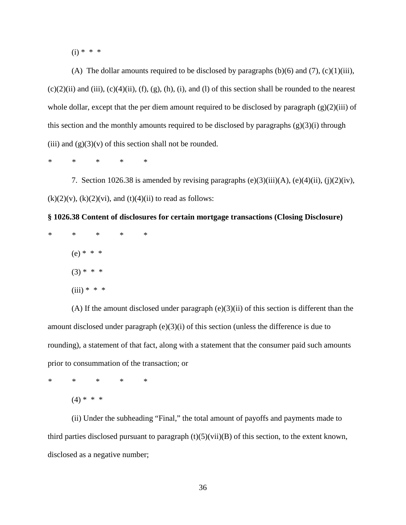$(i) * * * *$ 

(A) The dollar amounts required to be disclosed by paragraphs (b)(6) and (7), (c)(1)(iii),  $(c)(2)(ii)$  and (iii),  $(c)(4)(ii)$ ,  $(f)$ ,  $(g)$ ,  $(h)$ ,  $(i)$ , and  $(l)$  of this section shall be rounded to the nearest whole dollar, except that the per diem amount required to be disclosed by paragraph (g)(2)(iii) of this section and the monthly amounts required to be disclosed by paragraphs  $(g)(3)(i)$  through (iii) and  $(g)(3)(v)$  of this section shall not be rounded.

*\* \* \* \* \**

7. Section 1026.38 is amended by revising paragraphs  $(e)(3)(iii)(A)$ ,  $(e)(4)(ii)$ ,  $(j)(2)(iv)$ ,  $(k)(2)(v)$ ,  $(k)(2)(vi)$ , and  $(t)(4)(ii)$  to read as follows:

**§ 1026.38 Content of disclosures for certain mortgage transactions (Closing Disclosure)**

*\* \* \* \* \** (e) \* \* \*  $(3) * * * *$  $(iii) * * * *$ 

(A) If the amount disclosed under paragraph  $(e)(3)(ii)$  of this section is different than the amount disclosed under paragraph (e)(3)(i) of this section (unless the difference is due to rounding), a statement of that fact, along with a statement that the consumer paid such amounts prior to consummation of the transaction; or

*\* \* \* \* \**

 $(4) * * * *$ 

(ii) Under the subheading "Final," the total amount of payoffs and payments made to third parties disclosed pursuant to paragraph  $(t)(5)(vi)(B)$  of this section, to the extent known, disclosed as a negative number;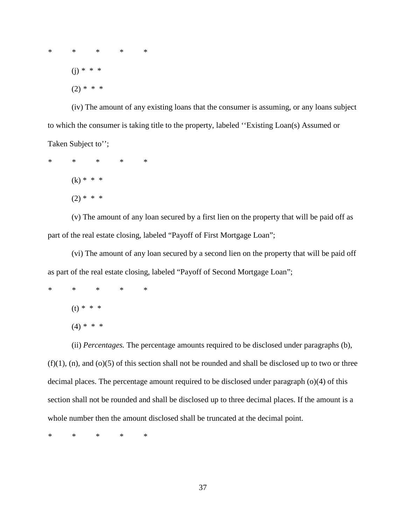*\* \* \* \* \** (j) *\* \* \** (2) *\* \* \**

(iv) The amount of any existing loans that the consumer is assuming, or any loans subject to which the consumer is taking title to the property, labeled ''Existing Loan(s) Assumed or Taken Subject to'';

*\* \* \* \* \**  $(k) * * * *$  $(2) * * * *$ 

(v) The amount of any loan secured by a first lien on the property that will be paid off as part of the real estate closing, labeled "Payoff of First Mortgage Loan";

(vi) The amount of any loan secured by a second lien on the property that will be paid off as part of the real estate closing, labeled "Payoff of Second Mortgage Loan";

*\* \* \* \* \** (t) *\* \* \** (4) *\* \* \**

(ii) *Percentages.* The percentage amounts required to be disclosed under paragraphs (b),

 $(f)(1)$ , (n), and (o)(5) of this section shall not be rounded and shall be disclosed up to two or three decimal places. The percentage amount required to be disclosed under paragraph (o)(4) of this section shall not be rounded and shall be disclosed up to three decimal places. If the amount is a whole number then the amount disclosed shall be truncated at the decimal point.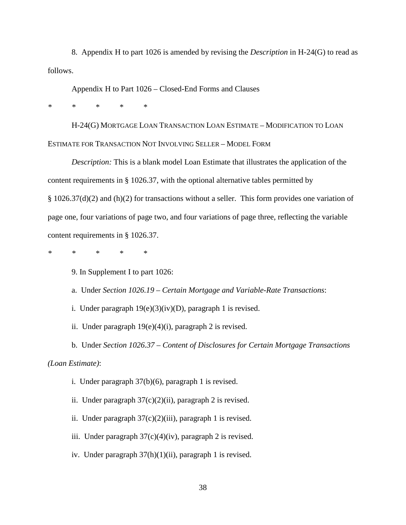8. Appendix H to part 1026 is amended by revising the *Description* in H-24(G) to read as follows.

Appendix H to Part 1026 – Closed-End Forms and Clauses

*\* \* \* \* \**

H-24(G) MORTGAGE LOAN TRANSACTION LOAN ESTIMATE – MODIFICATION TO LOAN ESTIMATE FOR TRANSACTION NOT INVOLVING SELLER – MODEL FORM

*Description:* This is a blank model Loan Estimate that illustrates the application of the content requirements in § 1026.37, with the optional alternative tables permitted by § 1026.37(d)(2) and (h)(2) for transactions without a seller. This form provides one variation of page one, four variations of page two, and four variations of page three, reflecting the variable content requirements in § 1026.37.

*\* \* \* \* \**

9. In Supplement I to part 1026:

a. Under *Section 1026.19 – Certain Mortgage and Variable-Rate Transactions*:

i. Under paragraph  $19(e)(3)(iv)(D)$ , paragraph 1 is revised.

ii. Under paragraph  $19(e)(4)(i)$ , paragraph 2 is revised.

b. Under *Section 1026.37 – Content of Disclosures for Certain Mortgage Transactions* 

*(Loan Estimate)*:

i. Under paragraph 37(b)(6), paragraph 1 is revised.

ii. Under paragraph  $37(c)(2)(ii)$ , paragraph 2 is revised.

ii. Under paragraph  $37(c)(2)(iii)$ , paragraph 1 is revised.

iii. Under paragraph 37(c)(4)(iv), paragraph 2 is revised.

iv. Under paragraph 37(h)(1)(ii), paragraph 1 is revised.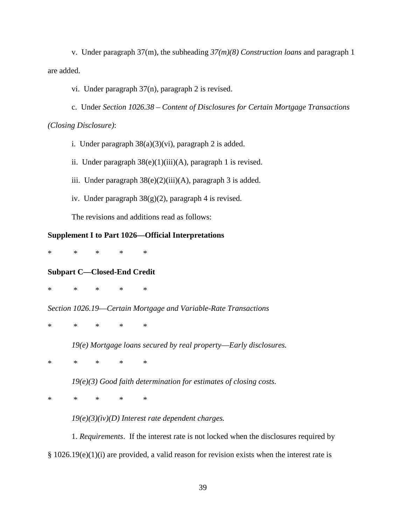v. Under paragraph 37(m), the subheading *37(m)(8) Construction loans* and paragraph 1 are added.

vi. Under paragraph 37(n), paragraph 2 is revised.

c. Under *Section 1026.38 – Content of Disclosures for Certain Mortgage Transactions (Closing Disclosure)*:

i. Under paragraph  $38(a)(3)(vi)$ , paragraph 2 is added.

ii. Under paragraph  $38(e)(1)(iii)(A)$ , paragraph 1 is revised.

iii. Under paragraph  $38(e)(2)(iii)(A)$ , paragraph 3 is added.

iv. Under paragraph 38(g)(2), paragraph 4 is revised.

The revisions and additions read as follows:

# **Supplement I to Part 1026—Official Interpretations**

\* \* \* \* \*

# **Subpart C—Closed-End Credit**

\* \* \* \* \*

*Section 1026.19*—*Certain Mortgage and Variable-Rate Transactions*

\* \* \* \* \*

*19(e) Mortgage loans secured by real property*—*Early disclosures.*

\* \* \* \* \*

*19(e)(3) Good faith determination for estimates of closing costs.*

\* \* \* \* \*

*19(e)(3)(iv)(D) Interest rate dependent charges.*

1. *Requirements*. If the interest rate is not locked when the disclosures required by § 1026.19(e)(1)(i) are provided, a valid reason for revision exists when the interest rate is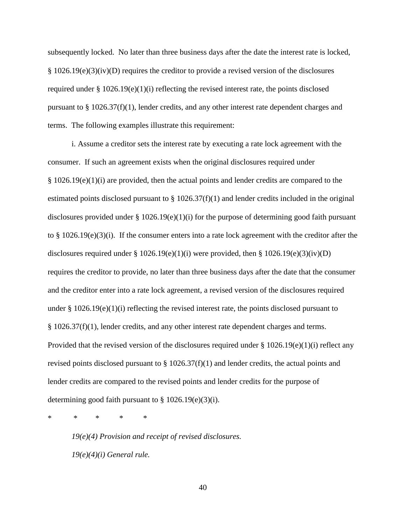subsequently locked. No later than three business days after the date the interest rate is locked, § 1026.19(e)(3)(iv)(D) requires the creditor to provide a revised version of the disclosures required under §  $1026.19(e)(1)(i)$  reflecting the revised interest rate, the points disclosed pursuant to  $\S 1026.37(f)(1)$ , lender credits, and any other interest rate dependent charges and terms. The following examples illustrate this requirement:

i. Assume a creditor sets the interest rate by executing a rate lock agreement with the consumer. If such an agreement exists when the original disclosures required under  $§ 1026.19(e)(1)(i)$  are provided, then the actual points and lender credits are compared to the estimated points disclosed pursuant to  $\S 1026.37(f)(1)$  and lender credits included in the original disclosures provided under  $\S 1026.19(e)(1)(i)$  for the purpose of determining good faith pursuant to § 1026.19(e)(3)(i). If the consumer enters into a rate lock agreement with the creditor after the disclosures required under § 1026.19(e)(1)(i) were provided, then § 1026.19(e)(3)(iv)(D) requires the creditor to provide, no later than three business days after the date that the consumer and the creditor enter into a rate lock agreement, a revised version of the disclosures required under  $\S 1026.19(e)(1)(i)$  reflecting the revised interest rate, the points disclosed pursuant to  $§ 1026.37(f)(1)$ , lender credits, and any other interest rate dependent charges and terms. Provided that the revised version of the disclosures required under  $\S 1026.19(e)(1)(i)$  reflect any revised points disclosed pursuant to  $\S 1026.37(f)(1)$  and lender credits, the actual points and lender credits are compared to the revised points and lender credits for the purpose of determining good faith pursuant to  $\S 1026.19(e)(3)(i)$ .

\* \* \* \* \*

*19(e)(4) Provision and receipt of revised disclosures. 19(e)(4)(i) General rule.*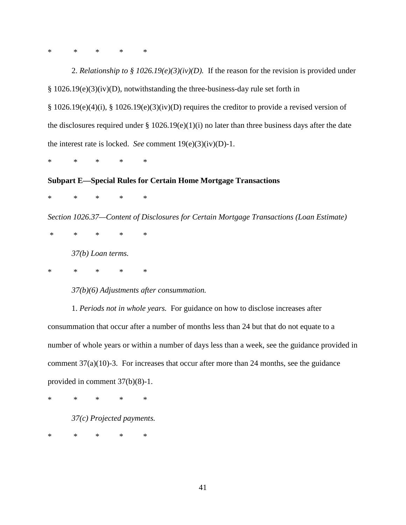\* \* \* \* \*

2. *Relationship to § 1026.19(e)(3)(iv)(D).* If the reason for the revision is provided under § 1026.19(e)(3)(iv)(D), notwithstanding the three-business-day rule set forth in § 1026.19(e)(4)(i), § 1026.19(e)(3)(iv)(D) requires the creditor to provide a revised version of the disclosures required under  $\S 1026.19(e)(1)(i)$  no later than three business days after the date the interest rate is locked. *See* comment 19(e)(3)(iv)(D)-1.

\* \* \* \* \*

## **Subpart E—Special Rules for Certain Home Mortgage Transactions**

\* \* \* \* \*

*Section 1026.37—Content of Disclosures for Certain Mortgage Transactions (Loan Estimate)*

\* \* \* \* \* *37(b) Loan terms.*

\* \* \* \* \*

*37(b)(6) Adjustments after consummation.*

1. *Periods not in whole years.* For guidance on how to disclose increases after consummation that occur after a number of months less than 24 but that do not equate to a number of whole years or within a number of days less than a week, see the guidance provided in comment  $37(a)(10)-3$ . For increases that occur after more than 24 months, see the guidance provided in comment 37(b)(8)-1.

\* \* \* \* \*

*37(c) Projected payments.*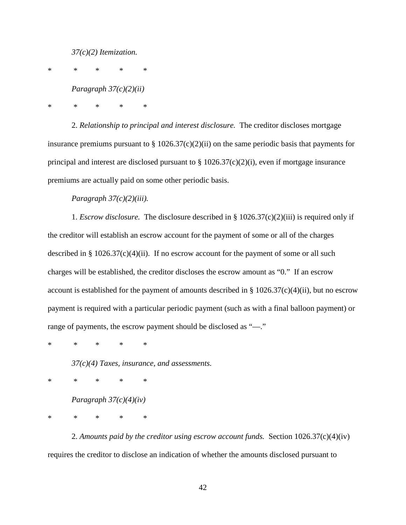*37(c)(2) Itemization.*

\* \* \* \* \*

*Paragraph 37(c)(2)(ii)*

\* \* \* \* \*

2. *Relationship to principal and interest disclosure.* The creditor discloses mortgage insurance premiums pursuant to  $\S 1026.37(c)(2)(ii)$  on the same periodic basis that payments for principal and interest are disclosed pursuant to  $\S 1026.37(c)(2)(i)$ , even if mortgage insurance premiums are actually paid on some other periodic basis.

*Paragraph 37(c)(2)(iii).*

1. *Escrow disclosure.* The disclosure described in § 1026.37(c)(2)(iii) is required only if the creditor will establish an escrow account for the payment of some or all of the charges described in §  $1026.37(c)(4)(ii)$ . If no escrow account for the payment of some or all such charges will be established, the creditor discloses the escrow amount as "0." If an escrow account is established for the payment of amounts described in  $\S 1026.37(c)(4)(ii)$ , but no escrow payment is required with a particular periodic payment (such as with a final balloon payment) or range of payments, the escrow payment should be disclosed as "—."

\* \* \* \* \*

*37(c)(4) Taxes, insurance, and assessments.*

\* \* \* \* \*

*Paragraph 37(c)(4)(iv)*

\* \* \* \* \*

2. *Amounts paid by the creditor using escrow account funds.* Section 1026.37(c)(4)(iv) requires the creditor to disclose an indication of whether the amounts disclosed pursuant to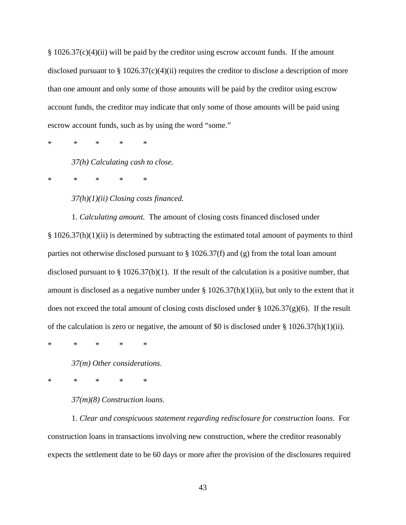§ 1026.37(c)(4)(ii) will be paid by the creditor using escrow account funds. If the amount disclosed pursuant to  $\S 1026.37(c)(4)(ii)$  requires the creditor to disclose a description of more than one amount and only some of those amounts will be paid by the creditor using escrow account funds, the creditor may indicate that only some of those amounts will be paid using escrow account funds, such as by using the word "some."

\* \* \* \* \*

*37(h) Calculating cash to close.*

\* \* \* \* \*

*37(h)(1)(ii) Closing costs financed.*

1. *Calculating amount.* The amount of closing costs financed disclosed under § 1026.37(h)(1)(ii) is determined by subtracting the estimated total amount of payments to third parties not otherwise disclosed pursuant to § 1026.37(f) and (g) from the total loan amount disclosed pursuant to § 1026.37(b)(1). If the result of the calculation is a positive number, that amount is disclosed as a negative number under  $\S 1026.37(h)(1)(ii)$ , but only to the extent that it does not exceed the total amount of closing costs disclosed under § 1026.37(g)(6). If the result of the calculation is zero or negative, the amount of \$0 is disclosed under § 1026.37(h)(1)(ii).

\* \* \* \* \*

*37(m) Other considerations.*

\* \* \* \* \*

*37(m)(8) Construction loans.*

1. *Clear and conspicuous statement regarding redisclosure for construction loans*. For construction loans in transactions involving new construction, where the creditor reasonably expects the settlement date to be 60 days or more after the provision of the disclosures required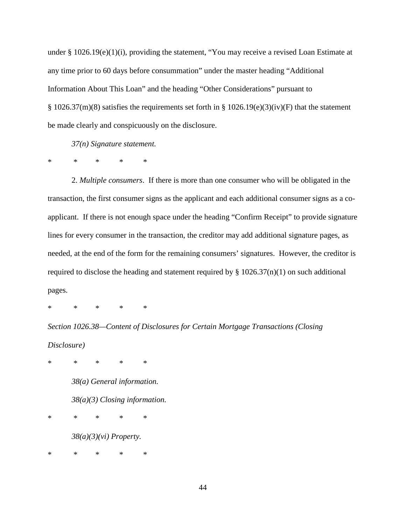under § 1026.19(e)(1)(i), providing the statement, "You may receive a revised Loan Estimate at any time prior to 60 days before consummation" under the master heading "Additional Information About This Loan" and the heading "Other Considerations" pursuant to § 1026.37(m)(8) satisfies the requirements set forth in § 1026.19(e)(3)(iv)(F) that the statement be made clearly and conspicuously on the disclosure.

*37(n) Signature statement.*

\* \* \* \* \*

2. *Multiple consumers*. If there is more than one consumer who will be obligated in the transaction, the first consumer signs as the applicant and each additional consumer signs as a coapplicant. If there is not enough space under the heading "Confirm Receipt" to provide signature lines for every consumer in the transaction, the creditor may add additional signature pages, as needed, at the end of the form for the remaining consumers' signatures. However, the creditor is required to disclose the heading and statement required by  $\S 1026.37(n)(1)$  on such additional pages.

\* \* \* \* \*

*Section 1026.38—Content of Disclosures for Certain Mortgage Transactions (Closing Disclosure)*

\* \* \* \* \*

*38(a) General information.*

*38(a)(3) Closing information.*

\* \* \* \* \*

*38(a)(3)(vi) Property.*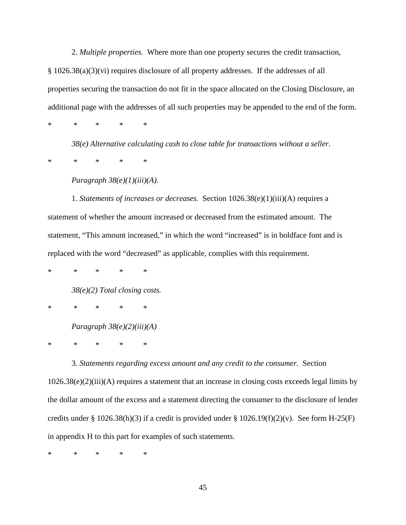2. *Multiple properties.* Where more than one property secures the credit transaction, § 1026.38(a)(3)(vi) requires disclosure of all property addresses. If the addresses of all properties securing the transaction do not fit in the space allocated on the Closing Disclosure, an additional page with the addresses of all such properties may be appended to the end of the form.

\* \* \* \* \*

*38(e) Alternative calculating cash to close table for transactions without a seller.*

\* \* \* \* \*

*Paragraph 38(e)(1)(iii)(A).*

1. *Statements of increases or decreases.* Section 1026.38(e)(1)(iii)(A) requires a statement of whether the amount increased or decreased from the estimated amount. The statement, "This amount increased," in which the word "increased" is in boldface font and is replaced with the word "decreased" as applicable, complies with this requirement.

\* \* \* \* \*

*38(e)(2) Total closing costs.*

\* \* \* \* \*

*Paragraph 38(e)(2)(iii)(A)*

\* \* \* \* \*

3. *Statements regarding excess amount and any credit to the consumer.* Section

1026.38(e)(2)(iii)(A) requires a statement that an increase in closing costs exceeds legal limits by the dollar amount of the excess and a statement directing the consumer to the disclosure of lender credits under § 1026.38(h)(3) if a credit is provided under § 1026.19(f)(2)(v). See form H-25(F) in appendix H to this part for examples of such statements.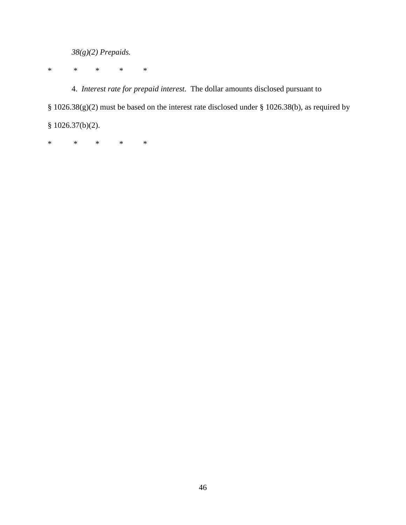*38(g)(2) Prepaids.*

\* \* \* \* \*

4. *Interest rate for prepaid interest.* The dollar amounts disclosed pursuant to § 1026.38(g)(2) must be based on the interest rate disclosed under § 1026.38(b), as required by § 1026.37(b)(2).